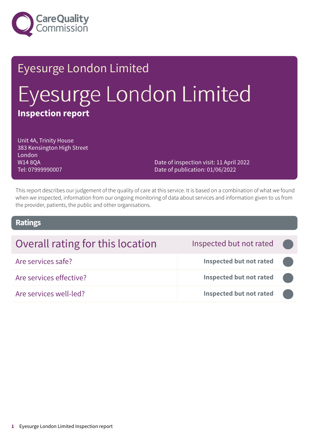

# Eyesurge London Limited Eyesurge London Limited **Inspection report**

Unit 4A, Trinity House 383 Kensington High Street London W14 8QA Tel: 07999990007

Date of inspection visit: 11 April 2022 Date of publication: 01/06/2022

This report describes our judgement of the quality of care at this service. It is based on a combination of what we found when we inspected, information from our ongoing monitoring of data about services and information given to us from the provider, patients, the public and other organisations.

### **Ratings**

| Overall rating for this location | Inspected but not rated        |  |
|----------------------------------|--------------------------------|--|
| Are services safe?               | <b>Inspected but not rated</b> |  |
| Are services effective?          | <b>Inspected but not rated</b> |  |
| Are services well-led?           | <b>Inspected but not rated</b> |  |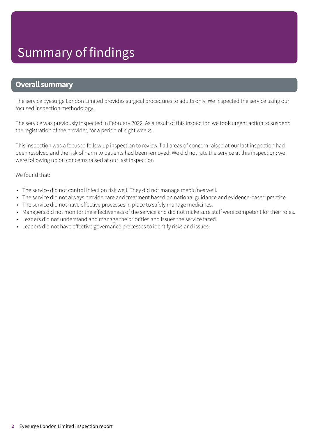### **Overall summary**

The service Eyesurge London Limited provides surgical procedures to adults only. We inspected the service using our focused inspection methodology.

The service was previously inspected in February 2022. As a result of this inspection we took urgent action to suspend the registration of the provider, for a period of eight weeks.

This inspection was a focused follow up inspection to review if all areas of concern raised at our last inspection had been resolved and the risk of harm to patients had been removed. We did not rate the service at this inspection; we were following up on concerns raised at our last inspection

#### We found that:

- The service did not control infection risk well. They did not manage medicines well.
- The service did not always provide care and treatment based on national guidance and evidence-based practice.
- The service did not have effective processes in place to safely manage medicines.
- Managers did not monitor the effectiveness of the service and did not make sure staff were competent for their roles.
- Leaders did not understand and manage the priorities and issues the service faced.
- Leaders did not have effective governance processes to identify risks and issues.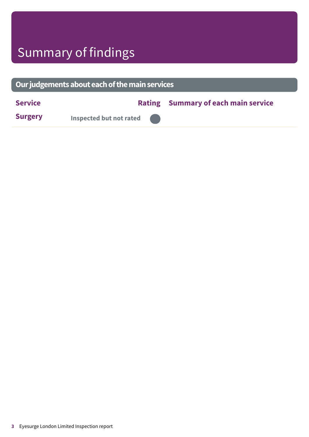# Summary of findings

| Our judgements about each of the main services |                                |  |                                            |  |  |
|------------------------------------------------|--------------------------------|--|--------------------------------------------|--|--|
| <b>Service</b>                                 |                                |  | <b>Rating Summary of each main service</b> |  |  |
| <b>Surgery</b>                                 | <b>Inspected but not rated</b> |  |                                            |  |  |
|                                                |                                |  |                                            |  |  |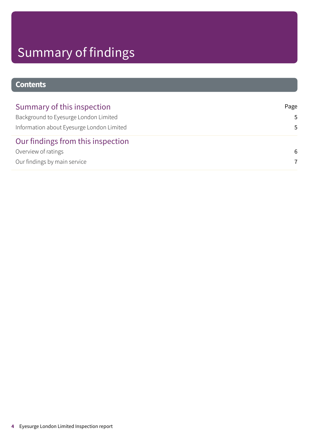# Summary of findings

## **Contents**

| Summary of this inspection                | Page |
|-------------------------------------------|------|
| Background to Eyesurge London Limited     | .5   |
| Information about Eyesurge London Limited | .5   |
| Our findings from this inspection         |      |
| Overview of ratings                       | -6   |
| Our findings by main service              | 7    |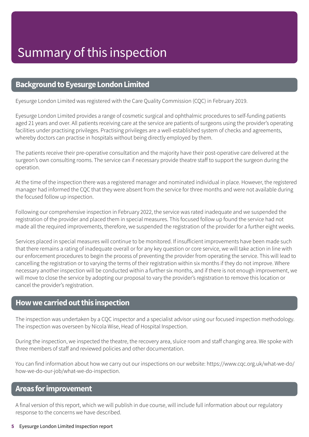### <span id="page-4-0"></span>**Background to Eyesurge London Limited**

Eyesurge London Limited was registered with the Care Quality Commission (CQC) in February 2019.

Eyesurge London Limited provides a range of cosmetic surgical and ophthalmic procedures to self-funding patients aged 21 years and over. All patients receiving care at the service are patients of surgeons using the provider's operating facilities under practising privileges. Practising privileges are a well-established system of checks and agreements, whereby doctors can practise in hospitals without being directly employed by them.

The patients receive their pre-operative consultation and the majority have their post-operative care delivered at the surgeon's own consulting rooms. The service can if necessary provide theatre staff to support the surgeon during the operation.

At the time of the inspection there was a registered manager and nominated individual in place. However, the registered manager had informed the CQC that they were absent from the service for three months and were not available during the focused follow up inspection.

Following our comprehensive inspection in February 2022, the service was rated inadequate and we suspended the registration of the provider and placed them in special measures. This focused follow up found the service had not made all the required improvements, therefore, we suspended the registration of the provider for a further eight weeks.

Services placed in special measures will continue to be monitored. If insufficient improvements have been made such that there remains a rating of inadequate overall or for any key question or core service, we will take action in line with our enforcement procedures to begin the process of preventing the provider from operating the service. This will lead to cancelling the registration or to varying the terms of their registration within six months if they do not improve. Where necessary another inspection will be conducted within a further six months, and if there is not enough improvement, we will move to close the service by adopting our proposal to vary the provider's registration to remove this location or cancel the provider's registration.

### <span id="page-4-1"></span>**Howwecarriedoutthis inspection**

The inspection was undertaken by a CQC inspector and a specialist advisor using our focused inspection methodology. The inspection was overseen by Nicola Wise, Head of Hospital Inspection.

During the inspection, we inspected the theatre, the recovery area, sluice room and staff changing area. We spoke with three members of staff and reviewed policies and other documentation.

You can find information about how we carry out our inspections on our website: https://www.cqc.org.uk/what-we-do/ how-we-do-our-job/what-we-do-inspection.

### **Areas forimprovement**

A final version of this report, which we will publish in due course, will include full information about our regulatory response to the concerns we have described.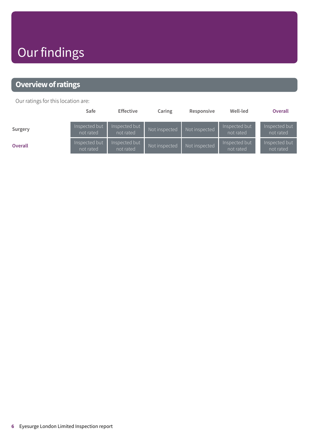# Our findings

## <span id="page-5-0"></span>**Overview of ratings**

Our ratings for this location are:

|                | Safe                       | <b>Effective</b>           | Caring        | Responsive    | Well-led                   | <b>Overall</b>             |
|----------------|----------------------------|----------------------------|---------------|---------------|----------------------------|----------------------------|
| Surgery        | Inspected but<br>not rated | Inspected but<br>not rated | Not inspected | Not inspected | Inspected but<br>not rated | Inspected but<br>not rated |
| <b>Overall</b> | Inspected but<br>not rated | Inspected but<br>not rated | Not inspected | Not inspected | Inspected but<br>not rated | Inspected but<br>not rated |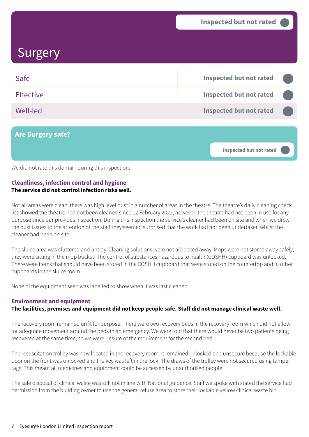# <span id="page-6-0"></span>**Surgery**

| Safe                     | Inspected but not rated        |  |
|--------------------------|--------------------------------|--|
| <b>Effective</b>         | <b>Inspected but not rated</b> |  |
| Well-led                 | <b>Inspected but not rated</b> |  |
|                          |                                |  |
| <b>Are Surgery safe?</b> |                                |  |

**Inspected but not rated –––**

We did not rate this domain during this inspection.

#### **Cleanliness, infection control and hygiene The service did not control infection risks well.**

Not all areas were clean, there was high level dust in a number of areas in the theatre. The theatre's daily cleaning check list showed the theatre had not been cleaned since 12 February 2022, however, the theatre had not been in use for any purpose since our previous inspection. During this inspection the service's cleaner had been on site and when we drew the dust issues to the attention of the staff they seemed surprised that the work had not been undertaken whilst the cleaner had been on site.

The sluice area was cluttered and untidy. Cleaning solutions were not all locked away. Mops were not stored away safely, they were sitting in the mop bucket. The control of substances hazardous to health (COSHH) cupboard was unlocked. There were items that should have been stored in the COSHH cupboard that were stored on the countertop and in other cupboards in the sluice room.

None of the equipment seen was labelled to show when it was last cleaned.

#### **Environment and equipment**

#### The facilities, premises and equipment did not keep people safe. Staff did not manage clinical waste well.

The recovery room remained unfit for purpose. There were two recovery beds in the recovery room which did not allow for adequate movement around the beds in an emergency. We were told that there would never be two patients being recovered at the same time, so we were unsure of the requirement for the second bed.

The resuscitation trolley was now located in the recovery room. It remained unlocked and unsecure because the lockable door on the front was unlocked and the key was left in the lock. The draws of the trolley were not secured using tamper tags. This meant all medicines and equipment could be accessed by unauthorised people.

The safe disposal of clinical waste was still not in line with National guidance. Staff we spoke with stated the service had permission from the building owner to use the general refuse area to store their lockable yellow clinical waste bin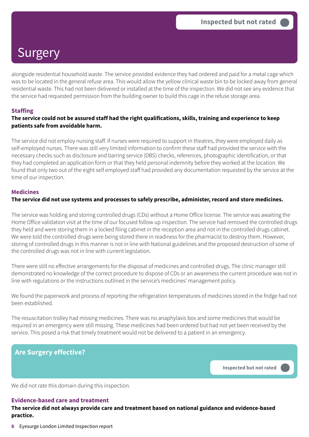# Surgery

alongside residential household waste. The service provided evidence they had ordered and paid for a metal cage which was to be located in the general refuse area. This would allow the yellow clinical waste bin to be locked away from general residential waste. This had not been delivered or installed at the time of the inspection. We did not see any evidence that the service had requested permission from the building owner to build this cage in the refuse storage area.

#### **Staffing**

#### The service could not be assured staff had the right qualifications, skills, training and experience to keep **patients safe from avoidable harm.**

The service did not employ nursing staff. If nurses were required to support in theatres, they were employed daily as self-employed nurses. There was still very limited information to confirm these staff had provided the service with the necessary checks such as disclosure and barring service (DBS) checks, references, photographic identification, or that they had completed an application form or that they held personal indemnity before they worked at the location. We found that only two out of the eight self employed staff had provided any documentation requested by the service at the time of our inspection.

#### **Medicines**

#### **The service did not use systems and processes to safely prescribe, administer, record and store medicines.**

The service was holding and storing controlled drugs (CDs) without a Home Office license. The service was awaiting the Home Office validation visit at the time of our focused follow up inspection. The service had removed the controlled drugs they held and were storing them in a locked filing cabinet in the reception area and not in the controlled drugs cabinet. We were told the controlled drugs were being stored there in readiness for the pharmacist to destroy them. However, storing of controlled drugs in this manner is not in line with National guidelines and the proposed destruction of some of the controlled drugs was not in line with current legislation.

There were still no effective arrangements for the disposal of medicines and controlled drugs. The clinic manager still demonstrated no knowledge of the correct procedure to dispose of CDs or an awareness the current procedure was not in line with regulations or the instructions outlined in the service's medicines' management policy.

We found the paperwork and process of reporting the refrigeration temperatures of medicines stored in the fridge had not been established.

The resuscitation trolley had missing medicines. There was no anaphylaxis box and some medicines that would be required in an emergency were still missing. These medicines had been ordered but had not yet been received by the service. This posed a risk that timely treatment would not be delivered to a patient in an emergency.

### **Are Surgery effective?**

**Inspected but not rated –––**

We did not rate this domain during this inspection.

### **Evidence-based care and treatment**

**The service did not always provide care and treatment based on national guidance and evidence-based practice.**

**8** Eyesurge London Limited Inspection report